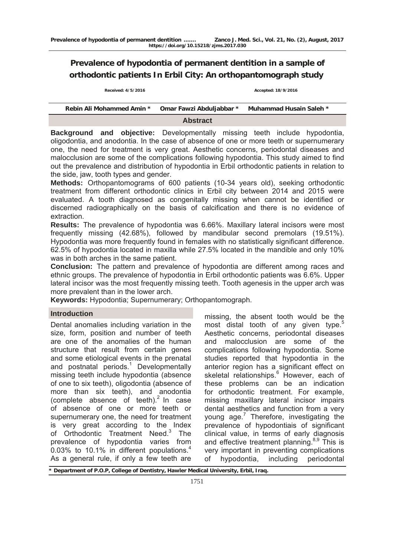# **Prevalence of hypodontia of permanent dentition in a sample of orthodontic patients In Erbil City: An orthopantomograph study**

 **Received: 4/5/2016 Accepted: 18/9/2016**

| Rebin Ali Mohammed Amin * | Omar Fawzi Abduljabbar * | Muhammad Husain Saleh * |  |  |  |  |  |
|---------------------------|--------------------------|-------------------------|--|--|--|--|--|
| <b>Abstract</b>           |                          |                         |  |  |  |  |  |

**Background and objective:** Developmentally missing teeth include hypodontia, oligodontia, and anodontia. In the case of absence of one or more teeth or supernumerary one, the need for treatment is very great. Aesthetic concerns, periodontal diseases and malocclusion are some of the complications following hypodontia. This study aimed to find out the prevalence and distribution of hypodontia in Erbil orthodontic patients in relation to the side, jaw, tooth types and gender.

**Methods:** Orthopantomograms of 600 patients (10-34 years old), seeking orthodontic treatment from different orthodontic clinics in Erbil city between 2014 and 2015 were evaluated. A tooth diagnosed as congenitally missing when cannot be identified or discerned radiographically on the basis of calcification and there is no evidence of extraction.

**Results:** The prevalence of hypodontia was 6.66%. Maxillary lateral incisors were most frequently missing (42.68%), followed by mandibular second premolars (19.51%). Hypodontia was more frequently found in females with no statistically significant difference. 62.5% of hypodontia located in maxilla while 27.5% located in the mandible and only 10% was in both arches in the same patient.

**Conclusion:** The pattern and prevalence of hypodontia are different among races and ethnic groups. The prevalence of hypodontia in Erbil orthodontic patients was 6.6%. Upper lateral incisor was the most frequently missing teeth. Tooth agenesis in the upper arch was more prevalent than in the lower arch.

**Keywords:** Hypodontia; Supernumerary; Orthopantomograph.

# **Introduction**

Dental anomalies including variation in the size, form, position and number of teeth are one of the anomalies of the human structure that result from certain genes and some etiological events in the prenatal and postnatal periods.<sup>1</sup> Developmentally missing teeth include hypodontia (absence of one to six teeth), oligodontia (absence of more than six teeth), and anodontia (complete absence of teeth). $2 \text{ ln}$  case of absence of one or more teeth or supernumerary one, the need for treatment is very great according to the Index of Orthodontic Treatment Need.<sup>3</sup> The prevalence of hypodontia varies from 0.03% to 10.1% in different populations.<sup>4</sup> As a general rule, if only a few teeth are

missing, the absent tooth would be the most distal tooth of any given type.<sup>5</sup> Aesthetic concerns, periodontal diseases and malocclusion are some of the complications following hypodontia. Some studies reported that hypodontia in the anterior region has a significant effect on skeletal relationships.<sup>6</sup> However, each of these problems can be an indication for orthodontic treatment. For example, missing maxillary lateral incisor impairs dental aesthetics and function from a very young age.<sup>7</sup> Therefore, investigating the prevalence of hypodontiais of significant clinical value, in terms of early diagnosis and effective treatment planning. $8.9$  This is very important in preventing complications of hypodontia, including periodontal

Department of P.O.P, College of Dentistry, Hawler Medical University, Erbil, Iraq.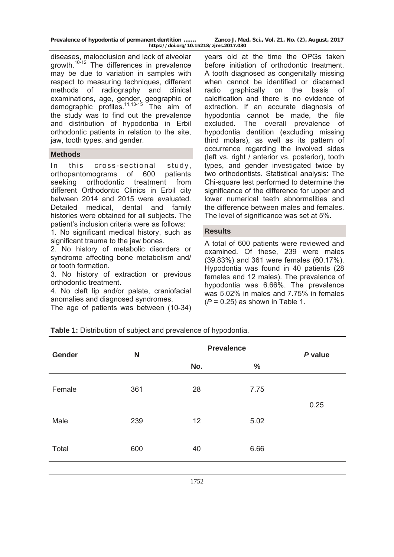| Prevalence of hypodontia of permanent dentition | Zanco J. Med. Sci., Vol. 21, No. (2), August, 2017 |  |  |  |  |  |  |  |  |
|-------------------------------------------------|----------------------------------------------------|--|--|--|--|--|--|--|--|
| https://doi.org/10.15218/zjms.2017.030          |                                                    |  |  |  |  |  |  |  |  |

diseases, malocclusion and lack of alveolar growth.10-12 The differences in prevalence may be due to variation in samples with respect to measuring techniques, different methods of radiography and clinical examinations, age, gender, geographic or demographic profiles.11,13-15 The aim of the study was to find out the prevalence and distribution of hypodontia in Erbil orthodontic patients in relation to the site, jaw, tooth types, and gender.

#### **Methods**

In this cross-sectional study, orthopantomograms of 600 patients seeking orthodontic treatment from different Orthodontic Clinics in Erbil city between 2014 and 2015 were evaluated. Detailed medical, dental and family histories were obtained for all subjects. The patient's inclusion criteria were as follows:

1. No significant medical history, such as significant trauma to the jaw bones.

2. No history of metabolic disorders or syndrome affecting bone metabolism and/ or tooth formation.

3. No history of extraction or previous orthodontic treatment.

4. No cleft lip and/or palate, craniofacial anomalies and diagnosed syndromes.

The age of patients was between (10-34)

years old at the time the OPGs taken before initiation of orthodontic treatment. A tooth diagnosed as congenitally missing when cannot be identified or discerned radio graphically on the basis of calcification and there is no evidence of extraction. If an accurate diagnosis of hypodontia cannot be made, the file excluded. The overall prevalence of hypodontia dentition (excluding missing third molars), as well as its pattern of occurrence regarding the involved sides (left vs. right / anterior vs. posterior), tooth types, and gender investigated twice by two orthodontists. Statistical analysis: The Chi-square test performed to determine the significance of the difference for upper and lower numerical teeth abnormalities and the difference between males and females. The level of significance was set at 5%.

#### **Results**

A total of 600 patients were reviewed and examined. Of these, 239 were males (39.83%) and 361 were females (60.17%). Hypodontia was found in 40 patients (28 females and 12 males). The prevalence of hypodontia was 6.66%. The prevalence was 5.02% in males and 7.75% in females (*P* = 0.25) as shown in Table 1.

|  |  |  |  |  |  | <b>Table 1:</b> Distribution of subject and prevalence of hypodontia. |
|--|--|--|--|--|--|-----------------------------------------------------------------------|
|--|--|--|--|--|--|-----------------------------------------------------------------------|

| <b>Gender</b> | N   |     | <b>Prevalence</b> |         |  |  |
|---------------|-----|-----|-------------------|---------|--|--|
|               |     | No. | $\frac{0}{0}$     | P value |  |  |
| Female        | 361 | 28  | 7.75              |         |  |  |
| Male          | 239 | 12  | 5.02              | 0.25    |  |  |
| Total         | 600 | 40  | 6.66              |         |  |  |
|               |     |     |                   |         |  |  |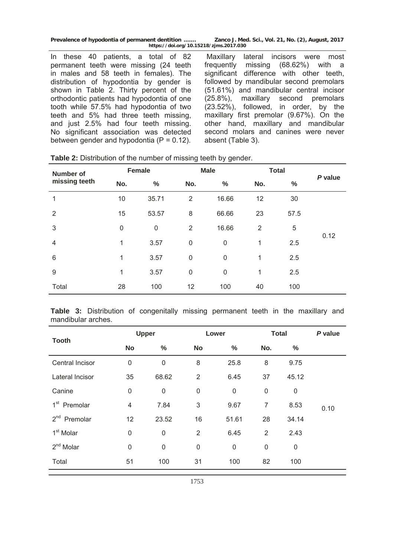**Prevalence of hypodontia of permanent dentition ……. Zanco J. Med. Sci., Vol. 21, No. (2), August, 2017 https://doi.org/10.15218/zjms.2017.030**

In these 40 patients, a total of 82 permanent teeth were missing (24 teeth in males and 58 teeth in females). The distribution of hypodontia by gender is shown in Table 2. Thirty percent of the orthodontic patients had hypodontia of one tooth while 57.5% had hypodontia of two teeth and 5% had three teeth missing, and just 2.5% had four teeth missing. No significant association was detected between gender and hypodontia  $(P = 0.12)$ .

 Maxillary lateral incisors were most frequently missing (68.62%) with a significant difference with other teeth, followed by mandibular second premolars (51.61%) and mandibular central incisor (25.8%), maxillary second premolars (23.52%), followed, in order, by the maxillary first premolar (9.67%). On the other hand, maxillary and mandibular second molars and canines were never absent (Table 3).

| <b>Number of</b> |             | <b>Female</b> |                | <b>Male</b>      |                | <b>Total</b> |         |  |
|------------------|-------------|---------------|----------------|------------------|----------------|--------------|---------|--|
| missing teeth    | No.         | $\%$          | No.            | $\%$             | No.            | $\%$         | P value |  |
| 1                | 10          | 35.71         | $\overline{2}$ | 16.66            | 12             | 30           |         |  |
| $\overline{2}$   | 15          | 53.57         | 8              | 66.66            | 23             | 57.5         |         |  |
| 3                | $\mathsf 0$ | $\mathbf 0$   | $\overline{2}$ | 16.66            | $\overline{2}$ | 5            |         |  |
| 4                | 1           | 3.57          | $\mathbf 0$    | $\mathbf 0$      | 1              | 2.5          | 0.12    |  |
| 6                | 1           | 3.57          | $\mathbf 0$    | $\boldsymbol{0}$ | 1              | 2.5          |         |  |
| 9                | 1           | 3.57          | 0              | $\boldsymbol{0}$ | 1              | 2.5          |         |  |
| Total            | 28          | 100           | 12             | 100              | 40             | 100          |         |  |

**Table 2:** Distribution of the number of missing teeth by gender.

**Table 3:** Distribution of congenitally missing permanent teeth in the maxillary and mandibular arches.

| <b>Tooth</b>                |             | <b>Upper</b>     |                | Lower            | <b>Total</b>   | P value          |      |
|-----------------------------|-------------|------------------|----------------|------------------|----------------|------------------|------|
|                             | <b>No</b>   | $\%$             | <b>No</b>      | $\%$             | No.            | %                |      |
| Central Incisor             | $\mathsf 0$ | $\mathsf 0$      | 8              | 25.8             | 8              | 9.75             |      |
| Lateral Incisor             | 35          | 68.62            | $\overline{2}$ | 6.45             | 37             | 45.12            |      |
| Canine                      | 0           | $\boldsymbol{0}$ | $\mathsf 0$    | $\mathsf 0$      | $\mathsf 0$    | $\boldsymbol{0}$ |      |
| 1 <sup>st</sup><br>Premolar | 4           | 7.84             | 3              | 9.67             | $\overline{7}$ | 8.53             | 0.10 |
| 2 <sup>nd</sup><br>Premolar | 12          | 23.52            | 16             | 51.61            | 28             | 34.14            |      |
| 1 <sup>st</sup> Molar       | $\mathsf 0$ | $\boldsymbol{0}$ | $\overline{2}$ | 6.45             | $\overline{2}$ | 2.43             |      |
| $2nd$ Molar                 | $\mathsf 0$ | $\mathsf 0$      | $\pmb{0}$      | $\boldsymbol{0}$ | $\mathbf 0$    | 0                |      |
| Total                       | 51          | 100              | 31             | 100              | 82             | 100              |      |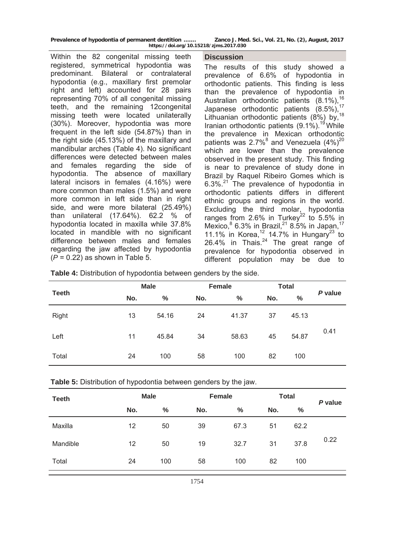| Prevalence of hypodontia of permanent dentition | Zanco J. Med. Sci., Vol. 21, No. (2), August, 2017 |  |  |  |  |  |  |  |  |  |
|-------------------------------------------------|----------------------------------------------------|--|--|--|--|--|--|--|--|--|
| https://doi.org/10.15218/zjms.2017.030          |                                                    |  |  |  |  |  |  |  |  |  |

Within the 82 congenital missing teeth registered, symmetrical hypodontia was predominant. Bilateral or contralateral hypodontia (e.g., maxillary first premolar right and left) accounted for 28 pairs representing 70% of all congenital missing teeth, and the remaining 12congenital missing teeth were located unilaterally (30%). Moreover, hypodontia was more frequent in the left side (54.87%) than in the right side (45.13%) of the maxillary and mandibular arches (Table 4). No significant differences were detected between males and females regarding the side of hypodontia. The absence of maxillary lateral incisors in females (4.16%) were more common than males (1.5%) and were more common in left side than in right side, and were more bilateral (25.49%) than unilateral (17.64%). 62.2 % of hypodontia located in maxilla while 37.8% located in mandible with no significant difference between males and females regarding the jaw affected by hypodontia (*P* = 0.22) as shown in Table 5.

**Discussion** 

The results of this study showed a prevalence of 6.6% of hypodontia in orthodontic patients. This finding is less than the prevalence of hypodontia in Australian orthodontic patients (8.1%),<sup>16</sup> Japanese orthodontic patients  $(8.5\%)$ , Lithuanian orthodontic patients (8%) by,<sup>18</sup> Iranian orthodontic patients  $(9.1\%)$ <sup>19</sup> While the prevalence in Mexican orthodontic patients was 2.7% $8$  and Venezuela  $(4\%)^{20}$ which are lower than the prevalence observed in the present study. This finding is near to prevalence of study done in Brazil by Raquel Ribeiro Gomes which is 6.3%. $^{21}$  The prevalence of hypodontia in orthodontic patients differs in different ethnic groups and regions in the world. Excluding the third molar, hypodontia ranges from  $2.6\%$  in Turkey<sup>22</sup> to  $5.5\%$  in Mexico, $8$  6.3% in Brazil,<sup>21</sup> 8.5% in Japan,<sup>17</sup> 11.1% in Korea,<sup>12</sup> 14.7% in Hungary<sup>23</sup> to 26.4% in Thais. $24$  The great range of prevalence for hypodontia observed in different population may be due to

|  | Table 4: Distribution of hypodontia between genders by the side. |  |
|--|------------------------------------------------------------------|--|
|--|------------------------------------------------------------------|--|

|              |     | <b>Male</b>   |     | <b>Female</b> | <b>Total</b> |               |         |
|--------------|-----|---------------|-----|---------------|--------------|---------------|---------|
| <b>Teeth</b> | No. | $\frac{0}{0}$ | No. | $\frac{0}{0}$ | No.          | $\frac{0}{0}$ | P value |
| Right        | 13  | 54.16         | 24  | 41.37         | 37           | 45.13         |         |
| Left         | 11  | 45.84         | 34  | 58.63         | 45           | 54.87         | 0.41    |
| Total        | 24  | 100           | 58  | 100           | 82           | 100           |         |

|  |  | <b>Table 5:</b> Distribution of hypodontia between genders by the jaw. |  |  |
|--|--|------------------------------------------------------------------------|--|--|
|  |  |                                                                        |  |  |

| <b>Teeth</b> | <b>Male</b> |      | Female |      | <b>Total</b> | P value |      |
|--------------|-------------|------|--------|------|--------------|---------|------|
|              | No.         | $\%$ | No.    | $\%$ | No.          | $\%$    |      |
| Maxilla      | 12          | 50   | 39     | 67.3 | 51           | 62.2    |      |
| Mandible     | 12          | 50   | 19     | 32.7 | 31           | 37.8    | 0.22 |
| Total        | 24          | 100  | 58     | 100  | 82           | 100     |      |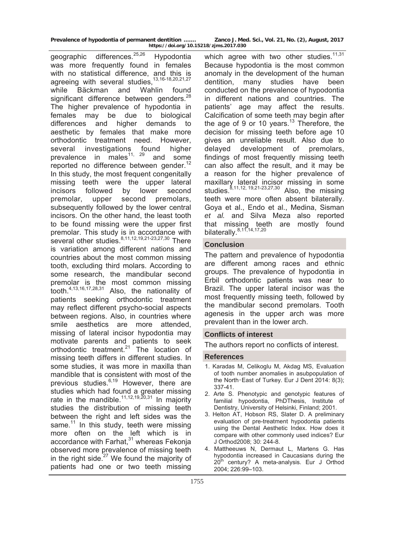geographic differences.<sup>25,26</sup> Hypodontia was more frequently found in females with no statistical difference, and this is agreeing with several studies,13,16-18,20,21*,*<sup>27</sup> while Bäckman and Wahlin found significant difference between genders.<sup>28</sup> The higher prevalence of hypodontia in females may be due to biological differences and higher demands to aesthetic by females that make more orthodontic treatment need. However, several investigations found higher prevalence in males<sup>11, 29</sup> and some reported no difference between gender.<sup>12</sup> In this study, the most frequent congenitally missing teeth were the upper lateral incisors followed by lower second premolar, upper second premolars, subsequently followed by the lower central incisors. On the other hand, the least tooth to be found missing were the upper first premolar. This study is in accordance with several other studies.<sup>8,11,12,19,21-23,27,30</sup> There is variation among different nations and countries about the most common missing tooth, excluding third molars. According to some research, the mandibular second premolar is the most common missing tooth.4,13,16,17,28,31 Also, the nationality of patients seeking orthodontic treatment may reflect different psycho-social aspects between regions. Also, in countries where smile aesthetics are more attended, missing of lateral incisor hypodontia may motivate parents and patients to seek orthodontic treatment.21 The location of missing teeth differs in different studies. In some studies, it was more in maxilla than mandible that is consistent with most of the previous studies. $6,19$  However, there are studies which had found a greater missing rate in the mandible.<sup>11,12,19,20,31</sup> In majority studies the distribution of missing teeth between the right and left sides was the same. $11$  In this study, teeth were missing more often on the left which is in accordance with Farhat,<sup>31</sup> whereas Fekonja observed more prevalence of missing teeth in the right side. $27$  We found the majority of patients had one or two teeth missing

which agree with two other studies.<sup>11,31</sup> Because hypodontia is the most common anomaly in the development of the human dentition, many studies have been conducted on the prevalence of hypodontia in different nations and countries. The patients' age may affect the results. Calcification of some teeth may begin after the age of 9 or 10 years.<sup>13</sup> Therefore, the decision for missing teeth before age 10 gives an unreliable result. Also due to delayed development of premolars, findings of most frequently missing teeth can also affect the result, and it may be a reason for the higher prevalence of maxillary lateral incisor missing in some  $\frac{1}{100}$  studies.  $\frac{8,11,12}{19,21-23,27,30}$  Also, the missing teeth were more often absent bilaterally. Goya et al., Endo et al., Medina, Sisman *et al.* and Silva Meza also reported that missing teeth are mostly found bilaterally.<sup>8,11,14,17,20</sup>

# **Conclusion**

The pattern and prevalence of hypodontia are different among races and ethnic groups. The prevalence of hypodontia in Erbil orthodontic patients was near to Brazil. The upper lateral incisor was the most frequently missing teeth, followed by the mandibular second premolars. Tooth agenesis in the upper arch was more prevalent than in the lower arch.

# **Conflicts of interest**

The authors report no conflicts of interest.

# **References**

- 1. Karadas M, Celikoglu M, Akdag MS, Evaluation of tooth number anomalies in asubpopulation of the North-East of Turkey. Eur J Dent 2014: 8(3); 337-41.
- 2. Arte S. Phenotypic and genotypic features of familial hypodontia, PhDThesis, Institute of Dentistry, University of Helsinki, Finland; 2001.
- 3. Helton AT, Hobson RS, Slater D. A preliminary evaluation of pre-treatment hypodontia patients using the Dental Aesthetic Index. How does it compare with other commonly used indices? Eur J Orthod2008; 30: 244-8.
- 4. Mattheeuws N, Dermaut L, Martens G. Has hypodontia increased in Caucasians during the  $20<sup>th</sup>$  century? A meta-analysis. Eur J Orthod 2004; 226:99–103.